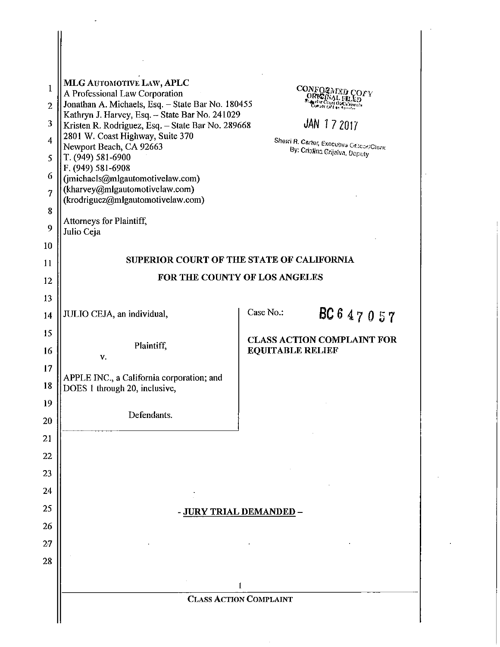| 1<br>$\overline{2}$<br>3<br>$\overline{4}$<br>5<br>6<br>7<br>8<br>9<br>10 | MLG AUTOMOTIVE LAW, APLC<br>A Professional Law Corporation<br>Jonathan A. Michaels, Esq. - State Bar No. 180455<br>Kathryn J. Harvey, Esq. - State Bar No. 241029<br>Kristen R. Rodriguez, Esq. - State Bar No. 289668<br>2801 W. Coast Highway, Suite 370<br>Newport Beach, CA 92663<br>T. (949) 581-6900<br>F. (949) 581-6908<br>(jmichaels@mlgautomotivelaw.com)<br>(kharvey@mlgautomotivelaw.com)<br>(krodriguez@mlgautomotivelaw.com)<br>Attorneys for Plaintiff,<br>Julio Ceja | CONFOR<br>ノじひぞシ<br>Court DaCa Hernia<br>JAN 172017<br>Shewi R. Carter, Executive Officer/Clerk<br>By: Cristina Grijalva, Deputy<br>SUPERIOR COURT OF THE STATE OF CALIFORNIA |  |  |  |  |
|---------------------------------------------------------------------------|--------------------------------------------------------------------------------------------------------------------------------------------------------------------------------------------------------------------------------------------------------------------------------------------------------------------------------------------------------------------------------------------------------------------------------------------------------------------------------------|------------------------------------------------------------------------------------------------------------------------------------------------------------------------------|--|--|--|--|
| 11                                                                        |                                                                                                                                                                                                                                                                                                                                                                                                                                                                                      | FOR THE COUNTY OF LOS ANGELES                                                                                                                                                |  |  |  |  |
| 12<br>13                                                                  |                                                                                                                                                                                                                                                                                                                                                                                                                                                                                      |                                                                                                                                                                              |  |  |  |  |
| 14                                                                        | JULIO CEJA, an individual,                                                                                                                                                                                                                                                                                                                                                                                                                                                           | Case No.:<br>BC647057                                                                                                                                                        |  |  |  |  |
| 15                                                                        |                                                                                                                                                                                                                                                                                                                                                                                                                                                                                      |                                                                                                                                                                              |  |  |  |  |
| 16                                                                        | Plaintiff,<br>V.                                                                                                                                                                                                                                                                                                                                                                                                                                                                     | <b>CLASS ACTION COMPLAINT FOR</b><br><b>EQUITABLE RELIEF</b>                                                                                                                 |  |  |  |  |
| 17<br>18                                                                  | APPLE INC., a California corporation; and<br>DOES 1 through 20, inclusive,                                                                                                                                                                                                                                                                                                                                                                                                           |                                                                                                                                                                              |  |  |  |  |
| 19<br>20                                                                  | Defendants.                                                                                                                                                                                                                                                                                                                                                                                                                                                                          |                                                                                                                                                                              |  |  |  |  |
| 21                                                                        |                                                                                                                                                                                                                                                                                                                                                                                                                                                                                      |                                                                                                                                                                              |  |  |  |  |
| 22                                                                        |                                                                                                                                                                                                                                                                                                                                                                                                                                                                                      |                                                                                                                                                                              |  |  |  |  |
| 23                                                                        |                                                                                                                                                                                                                                                                                                                                                                                                                                                                                      |                                                                                                                                                                              |  |  |  |  |
| 24                                                                        |                                                                                                                                                                                                                                                                                                                                                                                                                                                                                      |                                                                                                                                                                              |  |  |  |  |
| 25                                                                        | - JURY TRIAL DEMANDED -                                                                                                                                                                                                                                                                                                                                                                                                                                                              |                                                                                                                                                                              |  |  |  |  |
| 26                                                                        |                                                                                                                                                                                                                                                                                                                                                                                                                                                                                      |                                                                                                                                                                              |  |  |  |  |
| 27                                                                        |                                                                                                                                                                                                                                                                                                                                                                                                                                                                                      |                                                                                                                                                                              |  |  |  |  |
| 28                                                                        |                                                                                                                                                                                                                                                                                                                                                                                                                                                                                      |                                                                                                                                                                              |  |  |  |  |
|                                                                           |                                                                                                                                                                                                                                                                                                                                                                                                                                                                                      | 1                                                                                                                                                                            |  |  |  |  |
|                                                                           |                                                                                                                                                                                                                                                                                                                                                                                                                                                                                      | <b>CLASS ACTION COMPLAINT</b>                                                                                                                                                |  |  |  |  |
|                                                                           |                                                                                                                                                                                                                                                                                                                                                                                                                                                                                      |                                                                                                                                                                              |  |  |  |  |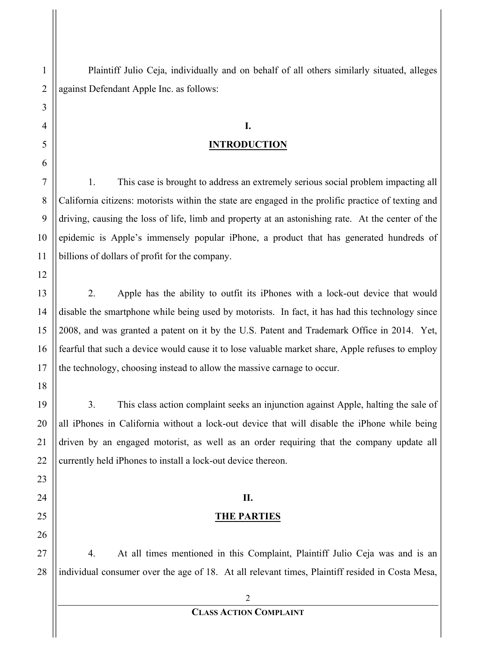Plaintiff Julio Ceja, individually and on behalf of all others similarly situated, alleges against Defendant Apple Inc. as follows:

# **I. INTRODUCTION**

1. This case is brought to address an extremely serious social problem impacting all California citizens: motorists within the state are engaged in the prolific practice of texting and driving, causing the loss of life, limb and property at an astonishing rate. At the center of the epidemic is Apple's immensely popular iPhone, a product that has generated hundreds of billions of dollars of profit for the company.

2. Apple has the ability to outfit its iPhones with a lock-out device that would disable the smartphone while being used by motorists. In fact, it has had this technology since 2008, and was granted a patent on it by the U.S. Patent and Trademark Office in 2014. Yet, fearful that such a device would cause it to lose valuable market share, Apple refuses to employ the technology, choosing instead to allow the massive carnage to occur.

3. This class action complaint seeks an injunction against Apple, halting the sale of all iPhones in California without a lock-out device that will disable the iPhone while being driven by an engaged motorist, as well as an order requiring that the company update all currently held iPhones to install a lock-out device thereon.

## **II.**

## **THE PARTIES**

4. At all times mentioned in this Complaint, Plaintiff Julio Ceja was and is an individual consumer over the age of 18. At all relevant times, Plaintiff resided in Costa Mesa,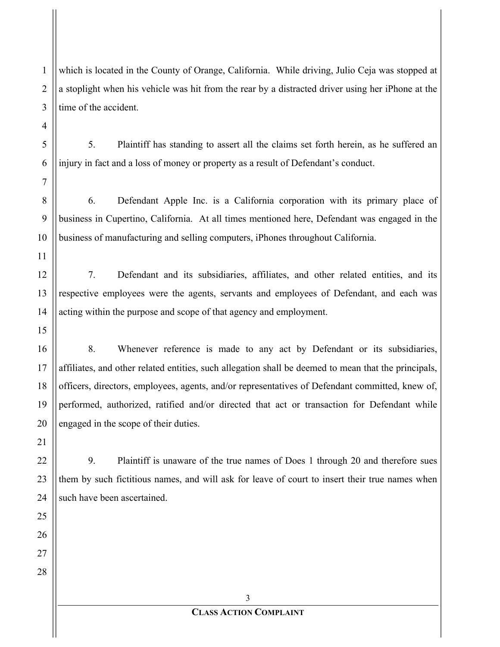which is located in the County of Orange, California. While driving, Julio Ceja was stopped at a stoplight when his vehicle was hit from the rear by a distracted driver using her iPhone at the time of the accident.

5. Plaintiff has standing to assert all the claims set forth herein, as he suffered an injury in fact and a loss of money or property as a result of Defendant's conduct.

6. Defendant Apple Inc. is a California corporation with its primary place of business in Cupertino, California. At all times mentioned here, Defendant was engaged in the business of manufacturing and selling computers, iPhones throughout California.

7. Defendant and its subsidiaries, affiliates, and other related entities, and its respective employees were the agents, servants and employees of Defendant, and each was acting within the purpose and scope of that agency and employment.

8. Whenever reference is made to any act by Defendant or its subsidiaries, affiliates, and other related entities, such allegation shall be deemed to mean that the principals, officers, directors, employees, agents, and/or representatives of Defendant committed, knew of, performed, authorized, ratified and/or directed that act or transaction for Defendant while engaged in the scope of their duties.

9. Plaintiff is unaware of the true names of Does 1 through 20 and therefore sues them by such fictitious names, and will ask for leave of court to insert their true names when such have been ascertained.

> 3 **CLASS ACTION COMPLAINT**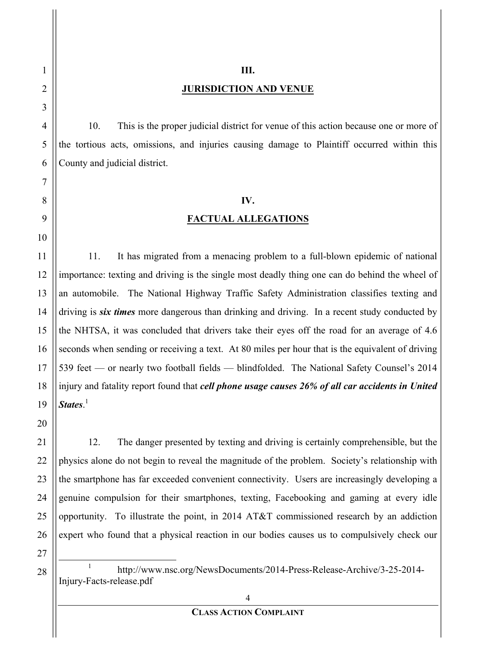#### **III.**

#### **JURISDICTION AND VENUE**

10. This is the proper judicial district for venue of this action because one or more of the tortious acts, omissions, and injuries causing damage to Plaintiff occurred within this County and judicial district.

#### **IV.**

#### **FACTUAL ALLEGATIONS**

11. It has migrated from a menacing problem to a full-blown epidemic of national importance: texting and driving is the single most deadly thing one can do behind the wheel of an automobile. The National Highway Traffic Safety Administration classifies texting and driving is *six times* more dangerous than drinking and driving. In a recent study conducted by the NHTSA, it was concluded that drivers take their eyes off the road for an average of 4.6 seconds when sending or receiving a text. At 80 miles per hour that is the equivalent of driving 539 feet — or nearly two football fields — blindfolded. The National Safety Counsel's 2014 injury and fatality report found that *cell phone usage causes 26% of all car accidents in United States*. 1

12. The danger presented by texting and driving is certainly comprehensible, but the physics alone do not begin to reveal the magnitude of the problem. Society's relationship with the smartphone has far exceeded convenient connectivity. Users are increasingly developing a genuine compulsion for their smartphones, texting, Facebooking and gaming at every idle opportunity. To illustrate the point, in 2014 AT&T commissioned research by an addiction expert who found that a physical reaction in our bodies causes us to compulsively check our

<sup>&</sup>lt;sup>1</sup> http://www.nsc.org/NewsDocuments/2014-Press-Release-Archive/3-25-2014-Injury-Facts-release.pdf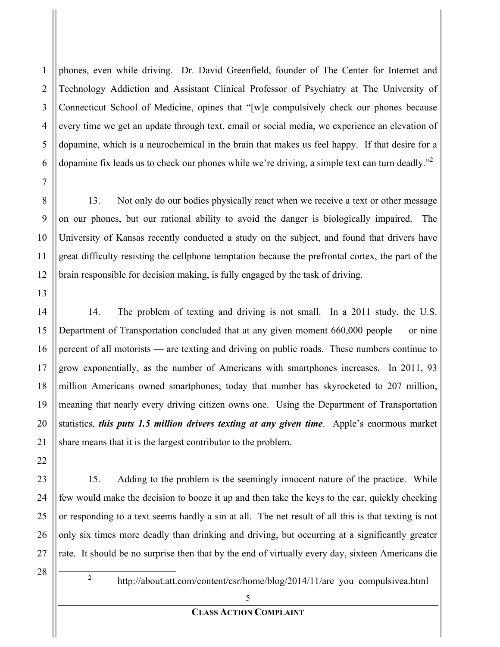1

2

3

4

phones, even while driving. Dr. David Greenfield, founder of The Center for Internet and Technology Addiction and Assistant Clinical Professor of Psychiatry at The University of Connecticut School of Medicine, opines that "[w]e compulsively check our phones because every time we get an update through text, email or social media, we experience an elevation of dopamine, which is a neurochemical in the brain that makes us feel happy. If that desire for a dopamine fix leads us to check our phones while we're driving, a simple text can turn deadly."<sup>2</sup>

13. Not only do our bodies physically react when we receive a text or other message on our phones, but our rational ability to avoid the danger is biologically impaired. The University of Kansas recently conducted a study on the subject, and found that drivers have great difficulty resisting the cellphone temptation because the prefrontal cortex, the part of the brain responsible for decision making, is fully engaged by the task of driving.

14. The problem of texting and driving is not small. In a 2011 study, the U.S. Department of Transportation concluded that at any given moment 660,000 people — or nine percent of all motorists — are texting and driving on public roads. These numbers continue to grow exponentially, as the number of Americans with smartphones increases. In 2011, 93 million Americans owned smartphones; today that number has skyrocketed to 207 million, meaning that nearly every driving citizen owns one. Using the Department of Transportation statistics, *this puts 1.5 million drivers texting at any given time*. Apple's enormous market share means that it is the largest contributor to the problem.

15. Adding to the problem is the seemingly innocent nature of the practice. While few would make the decision to booze it up and then take the keys to the car, quickly checking or responding to a text seems hardly a sin at all. The net result of all this is that texting is not only six times more deadly than drinking and driving, but occurring at a significantly greater rate. It should be no surprise then that by the end of virtually every day, sixteen Americans die

<sup>2</sup>

<sup>2</sup> http://about.att.com/content/csr/home/blog/2014/11/are\_you\_compulsivea.html

<sup>28</sup>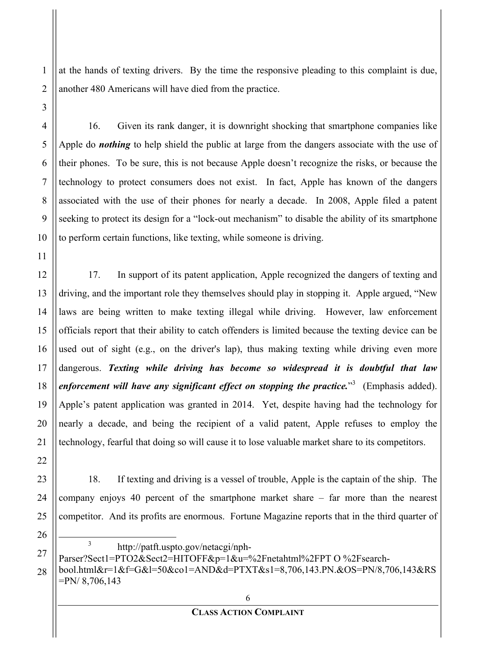at the hands of texting drivers. By the time the responsive pleading to this complaint is due, another 480 Americans will have died from the practice.

1

16. Given its rank danger, it is downright shocking that smartphone companies like Apple do *nothing* to help shield the public at large from the dangers associate with the use of their phones. To be sure, this is not because Apple doesn't recognize the risks, or because the technology to protect consumers does not exist. In fact, Apple has known of the dangers associated with the use of their phones for nearly a decade. In 2008, Apple filed a patent seeking to protect its design for a "lock-out mechanism" to disable the ability of its smartphone to perform certain functions, like texting, while someone is driving.

17. In support of its patent application, Apple recognized the dangers of texting and driving, and the important role they themselves should play in stopping it. Apple argued, "New laws are being written to make texting illegal while driving. However, law enforcement officials report that their ability to catch offenders is limited because the texting device can be used out of sight (e.g., on the driver's lap), thus making texting while driving even more dangerous. *Texting while driving has become so widespread it is doubtful that law*  enforcement will have any significant effect on stopping the practice."<sup>3</sup> (Emphasis added). Apple's patent application was granted in 2014. Yet, despite having had the technology for nearly a decade, and being the recipient of a valid patent, Apple refuses to employ the technology, fearful that doing so will cause it to lose valuable market share to its competitors.

18. If texting and driving is a vessel of trouble, Apple is the captain of the ship. The company enjoys 40 percent of the smartphone market share – far more than the nearest competitor. And its profits are enormous. Fortune Magazine reports that in the third quarter of

<sup>3</sup> http://patft.uspto.gov/netacgi/nph-

Parser?Sect1=PTO2&Sect2=HITOFF&p=1&u=%2Fnetahtml%2FPT O %2Fsearchbool.html&r=1&f=G&l=50&co1=AND&d=PTXT&s1=8,706,143.PN.&OS=PN/8,706,143&RS

=PN/ 8,706,143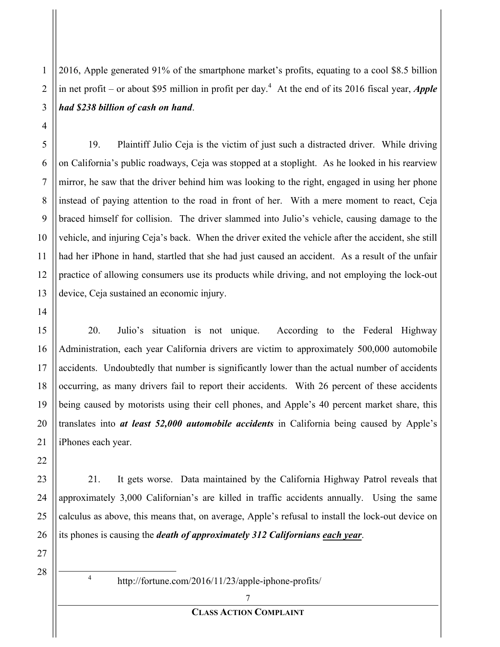2016, Apple generated 91% of the smartphone market's profits, equating to a cool \$8.5 billion in net profit – or about \$95 million in profit per day. 4 At the end of its 2016 fiscal year, *Apple had \$238 billion of cash on hand*.

19. Plaintiff Julio Ceja is the victim of just such a distracted driver. While driving on California's public roadways, Ceja was stopped at a stoplight. As he looked in his rearview mirror, he saw that the driver behind him was looking to the right, engaged in using her phone instead of paying attention to the road in front of her. With a mere moment to react, Ceja braced himself for collision. The driver slammed into Julio's vehicle, causing damage to the vehicle, and injuring Ceja's back. When the driver exited the vehicle after the accident, she still had her iPhone in hand, startled that she had just caused an accident. As a result of the unfair practice of allowing consumers use its products while driving, and not employing the lock-out device, Ceja sustained an economic injury.

20. Julio's situation is not unique. According to the Federal Highway Administration, each year California drivers are victim to approximately 500,000 automobile accidents. Undoubtedly that number is significantly lower than the actual number of accidents occurring, as many drivers fail to report their accidents. With 26 percent of these accidents being caused by motorists using their cell phones, and Apple's 40 percent market share, this translates into *at least 52,000 automobile accidents* in California being caused by Apple's iPhones each year.

21. It gets worse. Data maintained by the California Highway Patrol reveals that approximately 3,000 Californian's are killed in traffic accidents annually. Using the same calculus as above, this means that, on average, Apple's refusal to install the lock-out device on its phones is causing the *death of approximately 312 Californians each year*.

27

1

2

3

4

5

6

7

8

9

10

11

12

13

14

15

16

17

18

19

20

21

22

23

24

25

26

28

#### **CLASS ACTION COMPLAINT**

<sup>4</sup> http://fortune.com/2016/11/23/apple-iphone-profits/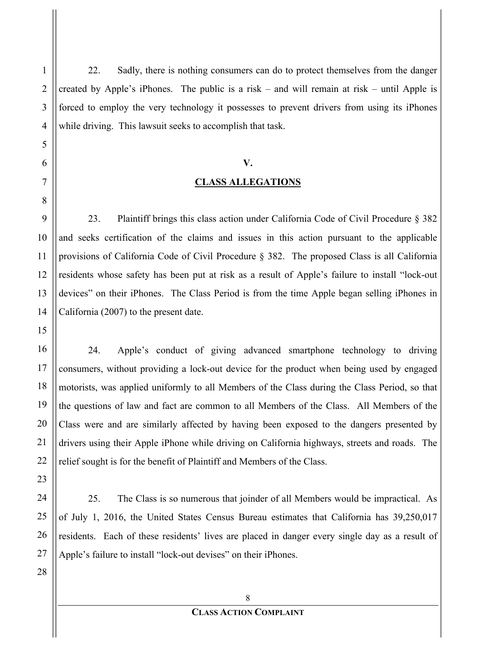22. Sadly, there is nothing consumers can do to protect themselves from the danger created by Apple's iPhones. The public is a risk – and will remain at risk – until Apple is forced to employ the very technology it possesses to prevent drivers from using its iPhones while driving. This lawsuit seeks to accomplish that task.

# **V. CLASS ALLEGATIONS**

23. Plaintiff brings this class action under California Code of Civil Procedure § 382 and seeks certification of the claims and issues in this action pursuant to the applicable provisions of California Code of Civil Procedure § 382. The proposed Class is all California residents whose safety has been put at risk as a result of Apple's failure to install "lock-out devices" on their iPhones. The Class Period is from the time Apple began selling iPhones in California (2007) to the present date.

24. Apple's conduct of giving advanced smartphone technology to driving consumers, without providing a lock-out device for the product when being used by engaged motorists, was applied uniformly to all Members of the Class during the Class Period, so that the questions of law and fact are common to all Members of the Class. All Members of the Class were and are similarly affected by having been exposed to the dangers presented by drivers using their Apple iPhone while driving on California highways, streets and roads. The relief sought is for the benefit of Plaintiff and Members of the Class.

25. The Class is so numerous that joinder of all Members would be impractical. As of July 1, 2016, the United States Census Bureau estimates that California has 39,250,017 residents. Each of these residents' lives are placed in danger every single day as a result of Apple's failure to install "lock-out devises" on their iPhones.

1

2

3

4

5

6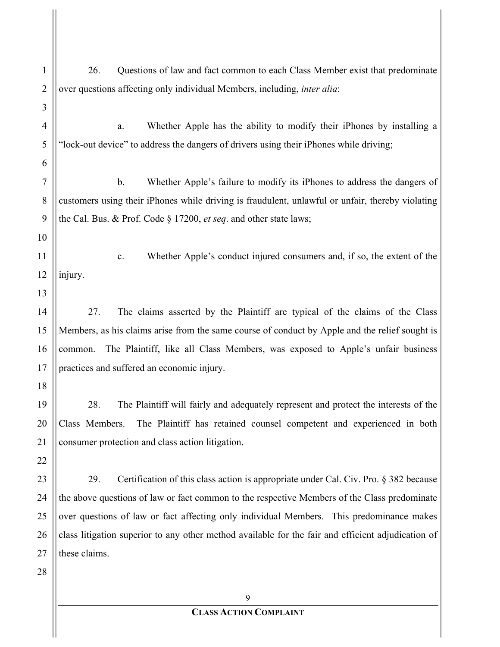| $\mathbf{1}$   | 26.<br>Questions of law and fact common to each Class Member exist that predominate                |
|----------------|----------------------------------------------------------------------------------------------------|
| $\overline{2}$ | over questions affecting only individual Members, including, <i>inter alia</i> :                   |
| 3              |                                                                                                    |
| 4              | Whether Apple has the ability to modify their iPhones by installing a<br>a.                        |
| 5              | "lock-out device" to address the dangers of drivers using their iPhones while driving;             |
| 6              |                                                                                                    |
| 7              | $\mathbf b$ .<br>Whether Apple's failure to modify its iPhones to address the dangers of           |
| 8              | customers using their iPhones while driving is fraudulent, unlawful or unfair, thereby violating   |
| 9              | the Cal. Bus. & Prof. Code $\S 17200$ , <i>et seq.</i> and other state laws;                       |
| 10             |                                                                                                    |
| 11             | Whether Apple's conduct injured consumers and, if so, the extent of the<br>$\mathbf{c}$ .          |
| 12             | injury.                                                                                            |
| 13             |                                                                                                    |
| 14             | The claims asserted by the Plaintiff are typical of the claims of the Class<br>27.                 |
| 15             | Members, as his claims arise from the same course of conduct by Apple and the relief sought is     |
| 16             | The Plaintiff, like all Class Members, was exposed to Apple's unfair business<br>common.           |
| 17             | practices and suffered an economic injury.                                                         |
| 18             |                                                                                                    |
| 19             | 28.<br>The Plaintiff will fairly and adequately represent and protect the interests of the         |
| 20             | Class Members.<br>The Plaintiff has retained counsel competent and experienced in both             |
| 21             | consumer protection and class action litigation.                                                   |
| 22             |                                                                                                    |
| 23             | Certification of this class action is appropriate under Cal. Civ. Pro. § 382 because<br>29.        |
| 24             | the above questions of law or fact common to the respective Members of the Class predominate       |
| 25             | over questions of law or fact affecting only individual Members. This predominance makes           |
| 26             | class litigation superior to any other method available for the fair and efficient adjudication of |
| 27             | these claims.                                                                                      |
| 28             |                                                                                                    |
|                | 9                                                                                                  |
|                | <b>CLASS ACTION COMPLAINT</b>                                                                      |

 $\mathop{\textstyle\prod}$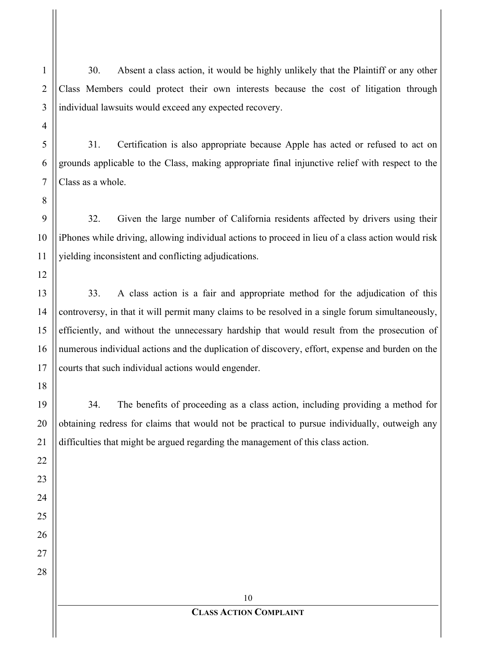30. Absent a class action, it would be highly unlikely that the Plaintiff or any other Class Members could protect their own interests because the cost of litigation through individual lawsuits would exceed any expected recovery.

31. Certification is also appropriate because Apple has acted or refused to act on grounds applicable to the Class, making appropriate final injunctive relief with respect to the Class as a whole.

32. Given the large number of California residents affected by drivers using their iPhones while driving, allowing individual actions to proceed in lieu of a class action would risk yielding inconsistent and conflicting adjudications.

33. A class action is a fair and appropriate method for the adjudication of this controversy, in that it will permit many claims to be resolved in a single forum simultaneously, efficiently, and without the unnecessary hardship that would result from the prosecution of numerous individual actions and the duplication of discovery, effort, expense and burden on the courts that such individual actions would engender.

34. The benefits of proceeding as a class action, including providing a method for obtaining redress for claims that would not be practical to pursue individually, outweigh any difficulties that might be argued regarding the management of this class action.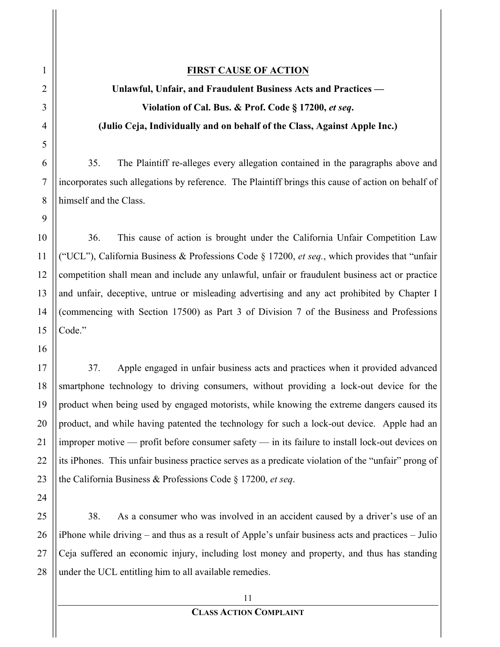### **FIRST CAUSE OF ACTION**

# **Unlawful, Unfair, and Fraudulent Business Acts and Practices — Violation of Cal. Bus. & Prof. Code § 17200,** *et seq***. (Julio Ceja, Individually and on behalf of the Class, Against Apple Inc.)**

35. The Plaintiff re-alleges every allegation contained in the paragraphs above and incorporates such allegations by reference. The Plaintiff brings this cause of action on behalf of himself and the Class.

36. This cause of action is brought under the California Unfair Competition Law ("UCL"), California Business & Professions Code § 17200, *et seq.*, which provides that "unfair competition shall mean and include any unlawful, unfair or fraudulent business act or practice and unfair, deceptive, untrue or misleading advertising and any act prohibited by Chapter I (commencing with Section 17500) as Part 3 of Division 7 of the Business and Professions Code."

37. Apple engaged in unfair business acts and practices when it provided advanced smartphone technology to driving consumers, without providing a lock-out device for the product when being used by engaged motorists, while knowing the extreme dangers caused its product, and while having patented the technology for such a lock-out device. Apple had an improper motive — profit before consumer safety — in its failure to install lock-out devices on its iPhones. This unfair business practice serves as a predicate violation of the "unfair" prong of the California Business & Professions Code § 17200, *et seq*.

38. As a consumer who was involved in an accident caused by a driver's use of an iPhone while driving – and thus as a result of Apple's unfair business acts and practices – Julio Ceja suffered an economic injury, including lost money and property, and thus has standing under the UCL entitling him to all available remedies.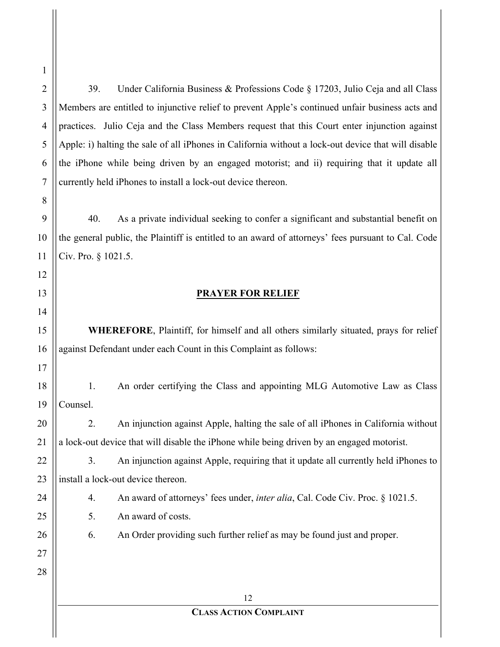39. Under California Business & Professions Code § 17203, Julio Ceja and all Class Members are entitled to injunctive relief to prevent Apple's continued unfair business acts and practices. Julio Ceja and the Class Members request that this Court enter injunction against Apple: i) halting the sale of all iPhones in California without a lock-out device that will disable the iPhone while being driven by an engaged motorist; and ii) requiring that it update all currently held iPhones to install a lock-out device thereon.

40. As a private individual seeking to confer a significant and substantial benefit on the general public, the Plaintiff is entitled to an award of attorneys' fees pursuant to Cal. Code Civ. Pro. § 1021.5.

## **PRAYER FOR RELIEF**

**WHEREFORE**, Plaintiff, for himself and all others similarly situated, prays for relief against Defendant under each Count in this Complaint as follows:

1. An order certifying the Class and appointing MLG Automotive Law as Class Counsel.

2. An injunction against Apple, halting the sale of all iPhones in California without a lock-out device that will disable the iPhone while being driven by an engaged motorist.

3. An injunction against Apple, requiring that it update all currently held iPhones to install a lock-out device thereon.

4. An award of attorneys' fees under, *inter alia*, Cal. Code Civ. Proc. § 1021.5.

5. An award of costs.

6. An Order providing such further relief as may be found just and proper.

#### **CLASS ACTION COMPLAINT**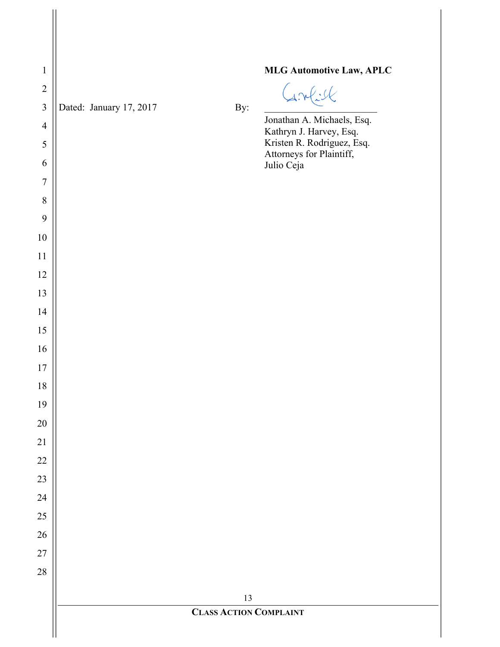| $\mathbf{1}$   |                               |     | <b>MLG Automotive Law, APLC</b>                        |
|----------------|-------------------------------|-----|--------------------------------------------------------|
| $\overline{2}$ |                               |     | Grel:K                                                 |
| $\mathfrak{Z}$ | Dated: January 17, 2017       | By: | Jonathan A. Michaels, Esq.                             |
| $\overline{4}$ |                               |     | Kathryn J. Harvey, Esq.                                |
| 5              |                               |     | Kristen R. Rodriguez, Esq.<br>Attorneys for Plaintiff, |
| 6              |                               |     | Julio Ceja                                             |
| $\overline{7}$ |                               |     |                                                        |
| $8\,$          |                               |     |                                                        |
| 9              |                               |     |                                                        |
| $10\,$         |                               |     |                                                        |
| 11<br>12       |                               |     |                                                        |
| 13             |                               |     |                                                        |
| 14             |                               |     |                                                        |
| 15             |                               |     |                                                        |
| 16             |                               |     |                                                        |
| 17             |                               |     |                                                        |
| 18             |                               |     |                                                        |
| 19             |                               |     |                                                        |
| $20\,$         |                               |     |                                                        |
| 21             |                               |     |                                                        |
| $22\,$         |                               |     |                                                        |
| $23\,$         |                               |     |                                                        |
| 24             |                               |     |                                                        |
| 25             |                               |     |                                                        |
| 26             |                               |     |                                                        |
| $27\,$         |                               |     |                                                        |
| $28\,$         |                               |     |                                                        |
|                |                               | 13  |                                                        |
|                | <b>CLASS ACTION COMPLAINT</b> |     |                                                        |
|                |                               |     |                                                        |